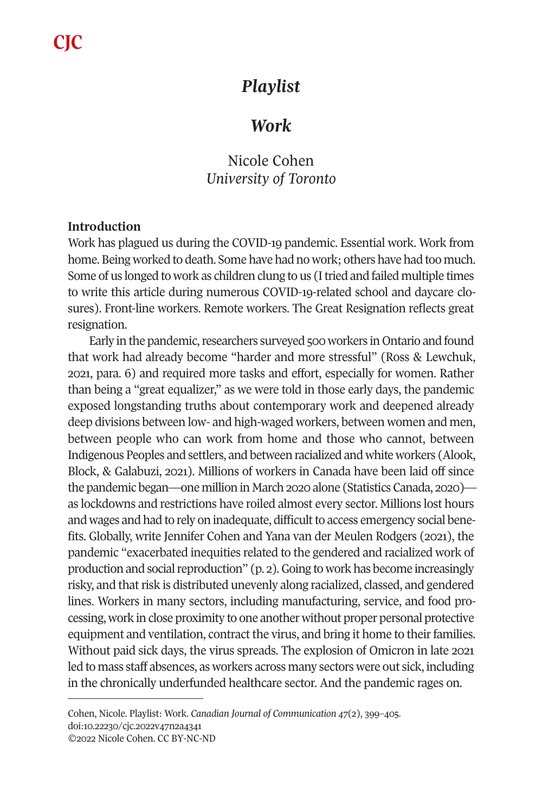# *Playlist*

## *Work*

## Nicole Cohen *University of Toronto*

## **Introduction**

Work has plagued us during the COVID-19 pandemic. Essential work. Work from home. Being worked to death. Some have had no work; others have had too much. Some of us longed to work as children clung to us (I tried and failed multiple times to write this article during numerous COVID-19-related school and daycare closures). Front-line workers. Remote workers. The Great Resignation reflects great resignation.

Early in the pandemic, researchers surveyed 500 workers in Ontario and found that work had already become "harder and more stressful" (Ross & Lewchuk, 2021, para. 6) and required more tasks and effort, especially for women. Rather than being a "great equalizer," as we were told in those early days, the pandemic exposed longstanding truths about contemporary work and deepened already deep divisions between low- and high-waged workers, between women and men, between people who can work from home and those who cannot, between Indigenous Peoples and settlers, and between racialized and white workers (Alook, Block, & Galabuzi, 2021). Millions of workers in Canada have been laid off since the pandemic began—one million in March 2020 alone (Statistics Canada, 2020) as lockdowns and restrictions have roiled almost every sector. Millions lost hours and wages and had to rely on inadequate, difficult to access emergency social benefits. Globally, write Jennifer Cohen and Yana van der Meulen Rodgers (2021), the pa[ndemic "exacerbated ine](https://doi.org/10.22230/cjc.2022v47n2a4341)quities related to the gendered and racialized work of production and social reproduction" (p. 2). Going to work has become increasingly risky, and that risk is distributed unevenly along racialized, classed, and gendered lines. Workers in many sectors, including manufacturing, service, and food processing, work in close proximity to one another without proper personal protective equipment and ventilation, contract the virus, and bring it home to their families. Without paid sick days, the virus spreads. The explosion of Omicron in late 2021 led to mass staff absences, as workers across many sectors were out sick, including in the chronically underfunded healthcare sector. And the pandemic rages on.

Cohen, Nicole. Playlist: Work. *Canadian Journal of Communication 47*(2), 399–405. doi:10.22230/cjc.2022v47n2a4341 ©2022 Nicole Cohen. CC BY-NC-ND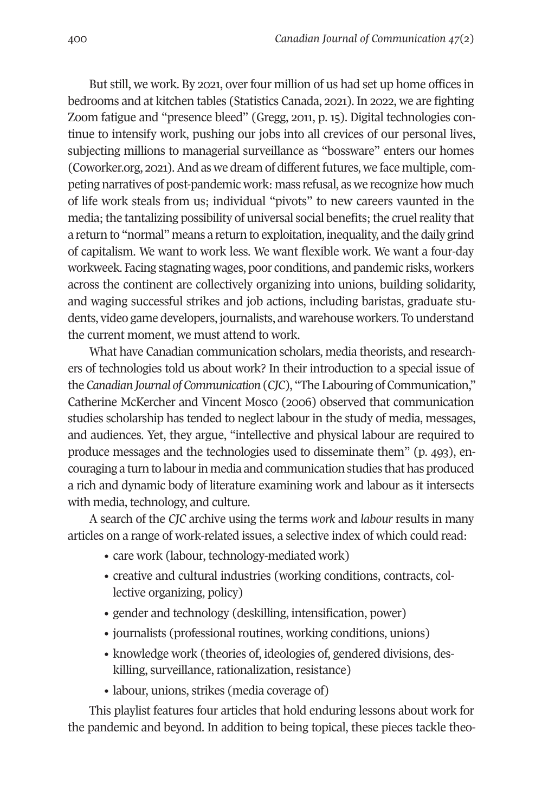400 *Canadian Journal of Communication 47*(2)

But still, we work. By 2021, over four million of us had set up home offices in bedrooms and at kitchen tables (Statistics Canada, 2021). In 2022, we are fighting Zoom fatigue and "presence bleed" (Gregg, 2011, p. 15). Digital technologies continue to intensify work, pushing our jobs into all crevices of our personal lives, subjecting millions to managerial surveillance as "bossware" enters our homes (Coworker.org, 2021). And as we dream of different futures, we face multiple, competing narratives of post-pandemic work: mass refusal, as we recognize how much of life work steals from us; individual "pivots" to new careers vaunted in the media; the tantalizing possibility of universal social benefits; the cruel reality that a return to "normal" means a return to exploitation, inequality, and the daily grind of capitalism. We want to work less. We want flexible work. We want a four-day workweek. Facing stagnating wages, poor conditions, and pandemic risks, workers across the continent are collectively organizing into unions, building solidarity, and waging successful strikes and job actions, including baristas, graduate students, video game developers, journalists, and warehouse workers. To understand the current moment, we must attend to work.

What have Canadian communication scholars, media theorists, and researchers of technologies told us about work? In their introduction to a special issue of the *Canadian Journal of Communication* (*CJC*), "The Labouring of Communication," Catherine McKercher and Vincent Mosco (2006) observed that communication studies scholarship has tended to neglect labour in the study of media, messages, and audiences. Yet, they argue, "intellective and physical labour are required to produce messages and the technologies used to disseminate them" (p. 493), encouraging a turn to labour in media and communication studies that has produced a rich and dynamic body of literature examining work and labour as it intersects with media, technology, and culture.

A search of the *CJC* archive using the terms *work* and *labour* results in many articles on a range of work-related issues, a selective index of which could read:

- care work (labour, technology-mediated work)
- creative and cultural industries (working conditions, contracts, collective organizing, policy)
- gender and technology (deskilling, intensification, power)
- journalists (professional routines, working conditions, unions)
- knowledge work (theories of, ideologies of, gendered divisions, deskilling, surveillance, rationalization, resistance)
- labour, unions, strikes (media coverage of)

This playlist features four articles that hold enduring lessons about work for the pandemic and beyond. In addition to being topical, these pieces tackle theo-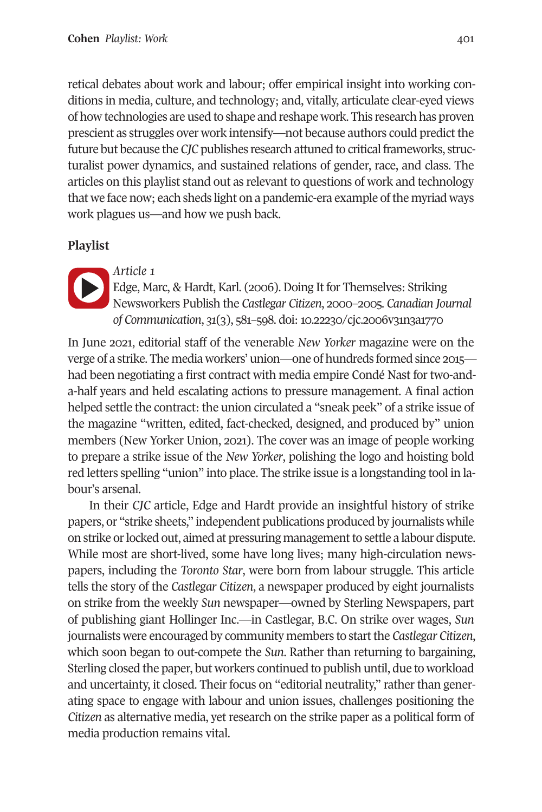### **Cohen** *Playlist: Work* 401

retical debates about work and labour; offer empirical insight into working con[ditions in](https://doi.org/10.22230/cjc.2006v31n3a1770) media, culture, and technology; and, vitally, articulate clear-eyed views of how technologies are used to shape and reshape work. This research has proven prescient as struggles over work intensify—no[t because authors could predi](https://doi.org/10.22230/cjc.2006v31n3a1770)ct the future but because the *CJC* publishes research attuned to critical frameworks, structuralist power dynamics, and sustained relations of gender, race, and class. The articles on this playlist stand out as relevant to questions of work and technology that we face now; each sheds light on a pandemic-era example of the myriad ways work plagues us—and how we push back.

### **Playlist**



### *Article 1*

Edge, Marc, & Hardt, Karl. (2006). Doing It for Themselves: Striking Newsworkers Publish the *Castlegar Citizen*, 2000–2005. *Canadian Journal of Communication*, *31*(3), 581–598. doi: 10.22230/cjc.2006v31n3a1770

In June 2021, editorial staff of the venerable *New Yorker* magazine were on the verge of a strike. The media workers' union—one of hundreds formed since 2015 had been negotiating a first contract with media empire Condé Nast for two-anda-half years and held escalating actions to pressure management. A final action helped settle the contract: the union circulated a "sneak peek" of a strike issue of the magazine "written, edited, fact-checked, designed, and produced by" union members (New Yorker Union, 2021). The cover was an image of people working to prepare a strike issue of the *New Yorker*, polishing the logo and hoisting bold red letters spelling "union" into place. The strike issue is a longstanding tool in labour's arsenal.

In their *CJC* article, Edge and Hardt provide an insightful history of strike papers, or "strike sheets," independent publications produced by journalists while on strike or locked out, aimed at pressuring management to settle a labour dispute. While most are short-lived, some have long lives; many high-circulation newspapers, including the *Toronto Star*, were born from labour struggle. This article tells the story of the *Castlegar Citizen*, a newspaper produced by eight journalists on strike from the weekly *Sun* newspaper—owned by Sterling Newspapers, part of publishing giant Hollinger Inc.—in Castlegar, B.C. On strike over wages, *Sun*  journalists were encouraged by community members to start the *Castlegar Citizen*, which soon began to out-compete the *Sun*. Rather than returning to bargaining, Sterling closed the paper, but workers continued to publish until, due to workload and uncertainty, it closed. Their focus on "editorial neutrality," rather than generating space to engage with labour and union issues, challenges positioning the *Citizen* as alternative media, yet research on the strike paper as a political form of media production remains vital.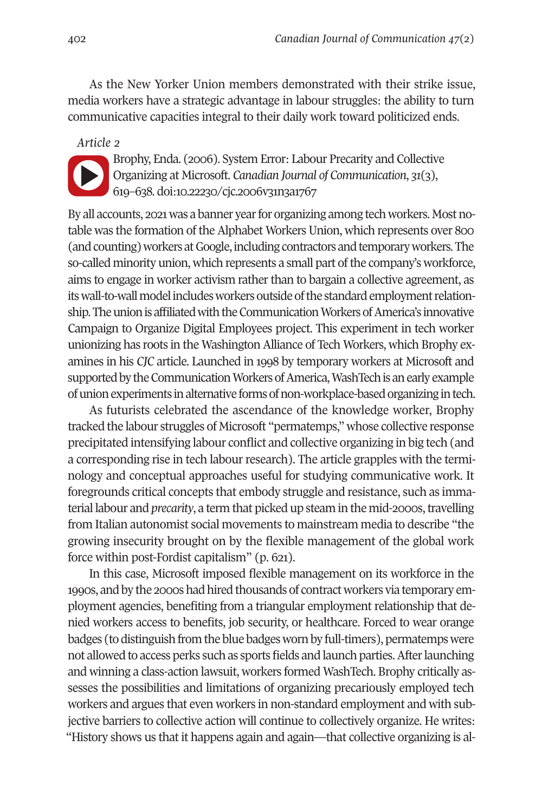402 *Canadian Journal of Communication 47*(2)

As the New Yorker Union members demonstrated with their strike issue, media workers have a strategic advantage in labour struggles: the ability to turn communicative capacities integral to their daily work toward politicized ends.

*Article 2* 

Brophy, Enda. (2006). System Error: Labour Precarity and Collective Organizing at Microsoft. *Canadian Journal of Communication*, *31*(3), 619–638. doi:10.22230/cjc.2006v31n3a1767

By all accounts, 2021 was a banner year for organizing among tech workers. Most notable was the formation of the Alphabet Workers Union, which represents over 800 (and counting) workers at Google, including contractors and temporary workers. The so-called minority union, which represents a small part of the company's workforce, aims to engage in worker activism rather than to bargain a collective agreement, as its wall-to-wall model includes workers outside of the standard employment relationship. The union is affiliated with the Communication Workers of America's innovative Campaign to Organize Digital Employees project. This experiment in tech worker unionizing has roots in the Washington Alliance of Tech Workers, which Brophy examines in his *CJC* article. Launched in 1998 by temporary workers at Microsoft and supported by the Communication Workers of America, WashTech is an early example of union experiments in alternative forms of non-workplace-based organizing in tech.

As futurists celebrated the ascendance of the knowledge worker, Brophy tracked the labour struggles of Microsoft "permatemps," whose collective response precipitated intensifying labour conflict and collective organizing in big tech (and a corresponding rise in tech labour research). The article grapples with the terminology and conceptual approaches useful for studying communicative work. It foregrounds critical concepts that embody struggle and resistance, such as immaterial labour and *precarity*, a term that picked up steam in the mid-2000s, travelling from Italian autonomist social movements to mainstream media to describe "the growing insecurity brought on by the flexible management of the global work force within post-Fordist capitalism" (p. 621).

In this case, Microsoft imposed flexible management on its workforce in the 1990s, and by the 2000s had hired thousands of contract workers via temporary employment agencies, benefiting from a triangular employment relationship that denied workers access to benefits, job security, or healthcare. Forced to wear orange badges (to distinguish from the blue badges worn by full-timers), permatemps were not allowed to access perks such as sports fields and launch parties. After launching and winning a class-action lawsuit, workers formed WashTech. Brophy critically assesses the possibilities and limitations of organizing precariously employed tech workers and argues that even workers in non-standard employment and with subjective barriers to collective action will continue to collectively organize. He writes: "History shows us that it happens again and again—that collective organizing is al-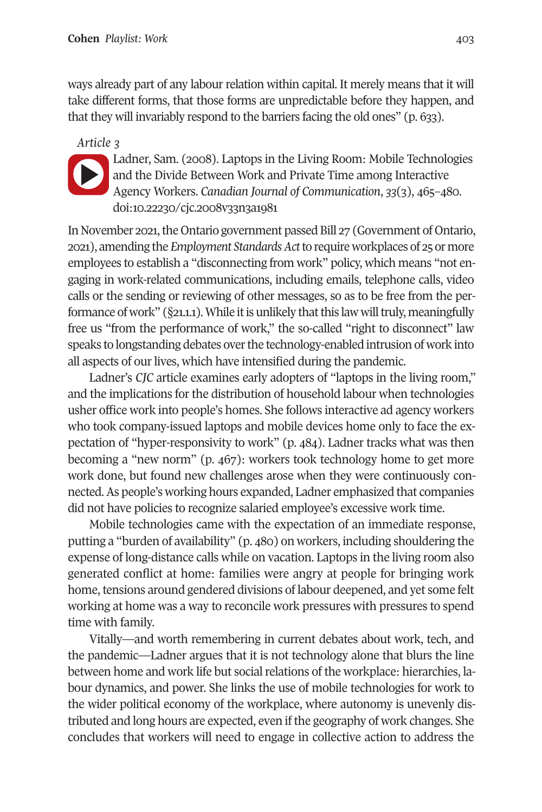### **Cohen** *Playlist: Work* 403

ways already part of any labour relation within capital. It merely means that it will take different forms, that those forms are unpredictable before they happen, and that they will invariably respond to the barriers facing the old ones" (p. 633).

*Article 3* 



Ladner, Sam. (2008). Laptops in the Living Room: Mobile Technologies and the Divide Between Work and Private Time among Interactive Agency Workers. *Canadian Journal of Communication*, *33*(3), 465–480. doi:10.22230/cjc.2008v33n3a1981

In November 2021, the Ontario government passed Bill 27 (Government of Ontario, 2021), amending the *Employment Standards Act* to require workplaces of 25 or more employees to establish a "disconnecting from work" policy, which means "not engaging in work-related communications, including emails, telephone calls, video calls or the sending or reviewing of other messages, so as to be free from the performance of work" (§21.1.1). While it is unlikely that this law will truly, meaningfully free us "from the performance of work," the so-called "right to disconnect" law speaks to longstanding debates over the technology-enabled intrusion of work into all aspects of our lives, which have intensified during the pandemic.

Ladner's *CJC* article examines early adopters of "laptops in the living room," and the implications for the distribution of household labour when technologies usher office work into people's homes. She follows interactive ad agency workers who took company-issued laptops and mobile devices home only to face the expectation of "hyper-responsivity to work" (p. 484). Ladner tracks what was then becoming a "new norm" (p. 467): workers took technology home to get more work done, but found new challenges arose when they were continuously connected. As people's working hours expanded, Ladner emphasized that companies did not have policies to recognize salaried employee's excessive work time.

Mobile technologies came with the expectation of an immediate response, putting a "burden of availability" (p. 480) on workers, including shouldering the expense of long-distance calls while on vacation. Laptops in the living room also generated conflict at home: families were angry at people for bringing work home, tensions around gendered divisions of labour deepened, and yet some felt working at home was a way to reconcile work pressures with pressures to spend time with family.

Vitally—and worth remembering in current debates about work, tech, and the pandemic—Ladner argues that it is not technology alone that blurs the line between home and work life but social relations of the workplace: hierarchies, labour dynamics, and power. She links the use of mobile technologies for work to the wider political economy of the workplace, where autonomy is unevenly distributed and long hours are expected, even if the geography of work changes. She concludes that workers will need to engage in collective action to address the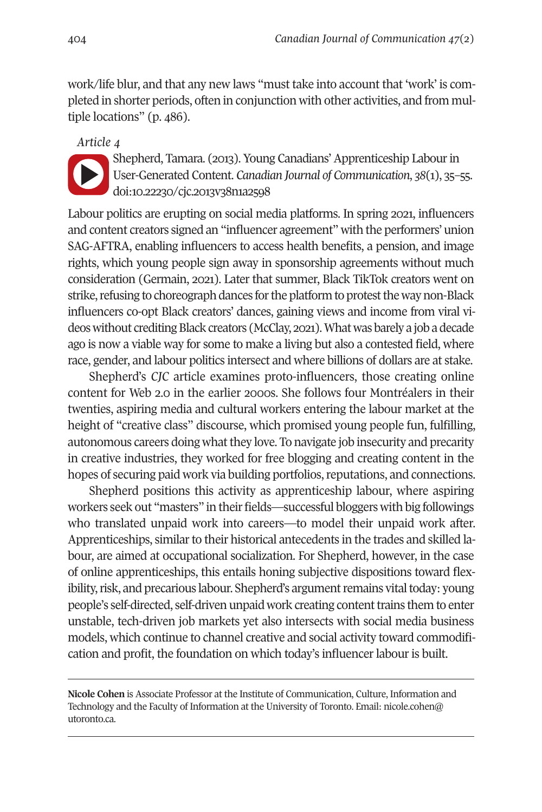404 *Canadian Journal of Communication 47*(2)

work/life blur, and that any new laws "must take into account that 'work' is completed in shorter periods, often in conjunction with other activities, and from multiple locations" (p. 486).

*Article 4* 

Shepherd, Tamara. (2013). Young Canadians' Apprenticeship Labour in User-Generated Content. *Canadian Journal of Communication*, *38*(1), 35–55. doi:10.22230/cjc.2013v38n1a2598

Labour politics are erupting on social media platforms. In spring 2021, influencers and content creators signed an "influencer agreement" with the performers' union SAG-AFTRA, enabling influencers to access health benefits, a pension, and image rights, which young people sign away in sponsorship agreements without much consideration (Germain, 2021). Later that summer, Black TikTok creators went on strike, refusing to choreograph dances for the platform to protest the way non-Black influencers co-opt Black creators' dances, gaining views and income from viral videos without crediting Black creators (McClay, 2021). What was barely a job a decade ago is now a viable way for some to make a living but also a contested field, where race, gender, and labour politics intersect and where billions of dollars are at stake.

Shepherd's *CJC* article examines proto-influencers, those creating online content for Web 2.0 in the earlier 2000s. She follows four Montréalers in their twenties, aspiring media and cultural workers entering the labour market at the height of "creative class" discourse, which promised young people fun, fulfilling, autonomous careers doing what they love. To navigate job insecurity and precarity in creative industries, they worked for free blogging and creating content in the hopes of securing paid work via building portfolios, reputations, and connections.

Shepherd positions this activity as apprenticeship labour, where aspiring workers seek out "masters" in their fields—successful bloggers with big followings who translated unpaid work into careers—to model their [unpaid work](mailto:nicole.cohen@utoronto.ca) after. [Apprentic](mailto:nicole.cohen@utoronto.ca)eships, similar to their historical antecedents in the trades and skilled labour, are aimed at occupational socialization. For Shepherd, however, in the case of online apprenticeships, this entails honing subjective dispositions toward flexibility, risk, and precarious labour. Shepherd's argument remains vital today: young people's self-directed, self-driven unpaid work creating content trains them to enter unstable, tech-driven job markets yet also intersects with social media business models, which continue to channel creative and social activity toward commodification and profit, the foundation on which today's influencer labour is built.

**Nicole Cohen** is Associate Professor at the Institute of Communication, Culture, Information and Technology and the Faculty of Information at the University of Toronto. Email: nicole.cohen@ utoronto.ca.